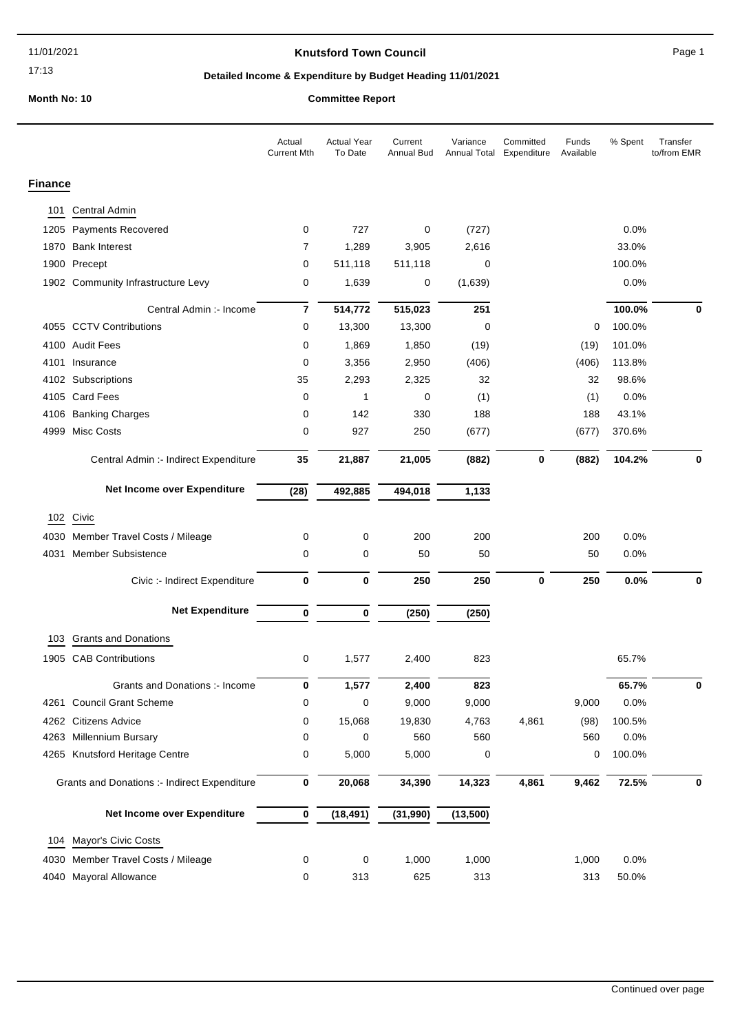#### 17:13

### **Knutsford Town Council Example 20 and Secure 20 and Secure 20 and Page 1**

# **Detailed Income & Expenditure by Budget Heading 11/01/2021**

**Month No: 10 Committee Report**

|                                                     |                                       | Actual<br><b>Current Mth</b> | <b>Actual Year</b><br>To Date | Current<br>Annual Bud | Variance<br>Annual Total | Committed<br>Expenditure | Funds<br>Available | % Spent | Transfer<br>to/from EMR |
|-----------------------------------------------------|---------------------------------------|------------------------------|-------------------------------|-----------------------|--------------------------|--------------------------|--------------------|---------|-------------------------|
| <b>Finance</b>                                      |                                       |                              |                               |                       |                          |                          |                    |         |                         |
| 101                                                 | <b>Central Admin</b>                  |                              |                               |                       |                          |                          |                    |         |                         |
| 1205                                                | <b>Payments Recovered</b>             | 0                            | 727                           | 0                     | (727)                    |                          |                    | 0.0%    |                         |
| 1870                                                | <b>Bank Interest</b>                  | $\overline{7}$               | 1,289                         | 3,905                 | 2,616                    |                          |                    | 33.0%   |                         |
|                                                     | 1900 Precept                          | 0                            | 511,118                       | 511,118               | 0                        |                          |                    | 100.0%  |                         |
|                                                     | 1902 Community Infrastructure Levy    | 0                            | 1,639                         | 0                     | (1,639)                  |                          |                    | 0.0%    |                         |
|                                                     | Central Admin :- Income               | $\overline{7}$               | 514,772                       | 515,023               | 251                      |                          |                    | 100.0%  | 0                       |
|                                                     | 4055 CCTV Contributions               | 0                            | 13,300                        | 13,300                | 0                        |                          | 0                  | 100.0%  |                         |
|                                                     | 4100 Audit Fees                       | 0                            | 1,869                         | 1,850                 | (19)                     |                          | (19)               | 101.0%  |                         |
|                                                     | 4101 Insurance                        | 0                            | 3,356                         | 2,950                 | (406)                    |                          | (406)              | 113.8%  |                         |
|                                                     | 4102 Subscriptions                    | 35                           | 2,293                         | 2,325                 | 32                       |                          | 32                 | 98.6%   |                         |
|                                                     | 4105 Card Fees                        | 0                            | 1                             | 0                     | (1)                      |                          | (1)                | 0.0%    |                         |
|                                                     | 4106 Banking Charges                  | 0                            | 142                           | 330                   | 188                      |                          | 188                | 43.1%   |                         |
| 4999                                                | <b>Misc Costs</b>                     | 0                            | 927                           | 250                   | (677)                    |                          | (677)              | 370.6%  |                         |
|                                                     | Central Admin :- Indirect Expenditure | 35                           | 21,887                        | 21,005                | (882)                    | $\mathbf 0$              | (882)              | 104.2%  | $\mathbf 0$             |
|                                                     | Net Income over Expenditure           | (28)                         | 492,885                       | 494,018               | 1,133                    |                          |                    |         |                         |
|                                                     | 102 Civic                             |                              |                               |                       |                          |                          |                    |         |                         |
| 4030                                                | Member Travel Costs / Mileage         | 0                            | 0                             | 200                   | 200                      |                          | 200                | 0.0%    |                         |
| 4031                                                | <b>Member Subsistence</b>             | 0                            | 0                             | 50                    | 50                       |                          | 50                 | 0.0%    |                         |
|                                                     | Civic :- Indirect Expenditure         | $\bf{0}$                     | 0                             | 250                   | 250                      | $\bf{0}$                 | 250                | 0.0%    | 0                       |
|                                                     | <b>Net Expenditure</b>                | 0                            | 0                             | (250)                 | (250)                    |                          |                    |         |                         |
| 103                                                 | <b>Grants and Donations</b>           |                              |                               |                       |                          |                          |                    |         |                         |
| 1905                                                | <b>CAB Contributions</b>              | 0                            | 1,577                         | 2,400                 | 823                      |                          |                    | 65.7%   |                         |
|                                                     | Grants and Donations :- Income        | 0                            | 1,577                         | 2,400                 | 823                      |                          |                    | 65.7%   | 0                       |
| 4261                                                | <b>Council Grant Scheme</b>           | 0                            | 0                             | 9,000                 | 9,000                    |                          | 9,000              | 0.0%    |                         |
| 4262                                                | <b>Citizens Advice</b>                | 0                            | 15,068                        | 19,830                | 4,763                    | 4,861                    | (98)               | 100.5%  |                         |
| 4263                                                | Millennium Bursary                    | 0                            | 0                             | 560                   | 560                      |                          | 560                | 0.0%    |                         |
| 4265                                                | Knutsford Heritage Centre             | 0                            | 5,000                         | 5,000                 | 0                        |                          | 0                  | 100.0%  |                         |
| <b>Grants and Donations :- Indirect Expenditure</b> |                                       | $\pmb{0}$                    | 20,068                        | 34,390                | 14,323                   | 4,861                    | 9,462              | 72.5%   | 0                       |
|                                                     | Net Income over Expenditure           | $\pmb{0}$                    | (18, 491)                     | (31, 990)             | (13,500)                 |                          |                    |         |                         |
| 104                                                 | Mayor's Civic Costs                   |                              |                               |                       |                          |                          |                    |         |                         |
| 4030                                                | Member Travel Costs / Mileage         | 0                            | 0                             | 1,000                 | 1,000                    |                          | 1,000              | 0.0%    |                         |
| 4040                                                | Mayoral Allowance                     | 0                            | 313                           | 625                   | 313                      |                          | 313                | 50.0%   |                         |
|                                                     |                                       |                              |                               |                       |                          |                          |                    |         |                         |